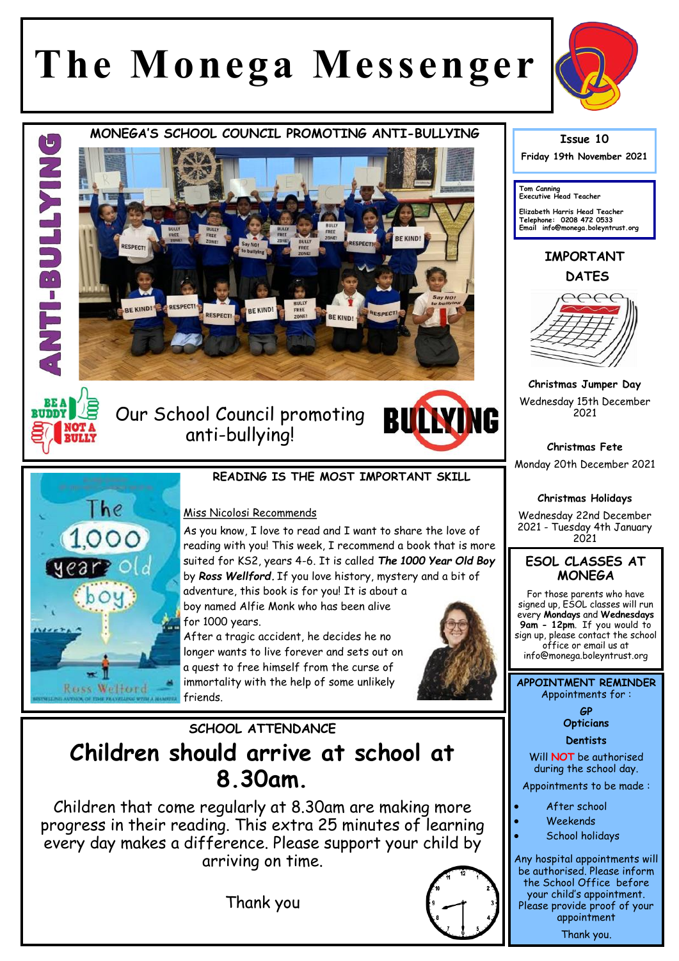# **The Monega Messenger**



THRUE T

**RUDD** 

**MONEGA'S SCHOOL COUNCIL PROMOTING ANTI-BULLYING** 



Our School Council promoting anti-bullying!





### **READING IS THE MOST IMPORTANT SKILL**

#### Miss Nicolosi Recommends

As you know, I love to read and I want to share the love of reading with you! This week, I recommend a book that is more suited for KS2, years 4-6. It is called *The 1000 Year Old Boy*  by *Ross Wellford.* If you love history, mystery and a bit of adventure, this book is for you! It is about a boy named Alfie Monk who has been alive

for 1000 years.

After a tragic accident, he decides he no longer wants to live forever and sets out on a quest to free himself from the curse of immortality with the help of some unlikely friends.



# **SCHOOL ATTENDANCE Children should arrive at school at 8.30am.**

Children that come regularly at 8.30am are making more progress in their reading. This extra 25 minutes of learning every day makes a difference. Please support your child by arriving on time.

Thank you

#### **Issue 10**

**Friday 19th November 2021** 

**Tom Canning Executive Head Teacher**

**Elizabeth Harris Head Teacher Telephone: 0208 472 0533 Email info@monega.boleyntrust.org** 

## **IMPORTANT DATES**



**Christmas Jumper Day** Wednesday 15th December 2021

**Christmas Fete** Monday 20th December 2021

#### **Christmas Holidays**

Wednesday 22nd December 2021 - Tuesday 4th January 2021

#### **ESOL CLASSES AT MONEGA**

For those parents who have signed up, ESOL classes will run every **Mondays** and **Wednesdays 9am - 12pm**. If you would to sign up, please contact the school office or email us at info@monega.boleyntrust.org

**APPOINTMENT REMINDER** Appointments for :

> **GP Opticians**

#### **Dentists**

Will **NOT** be authorised during the school day.

Appointments to be made :

- After school
- Weekends
- School holidays

Any hospital appointments will be authorised. Please inform the School Office before your child's appointment. Please provide proof of your appointment Thank you.